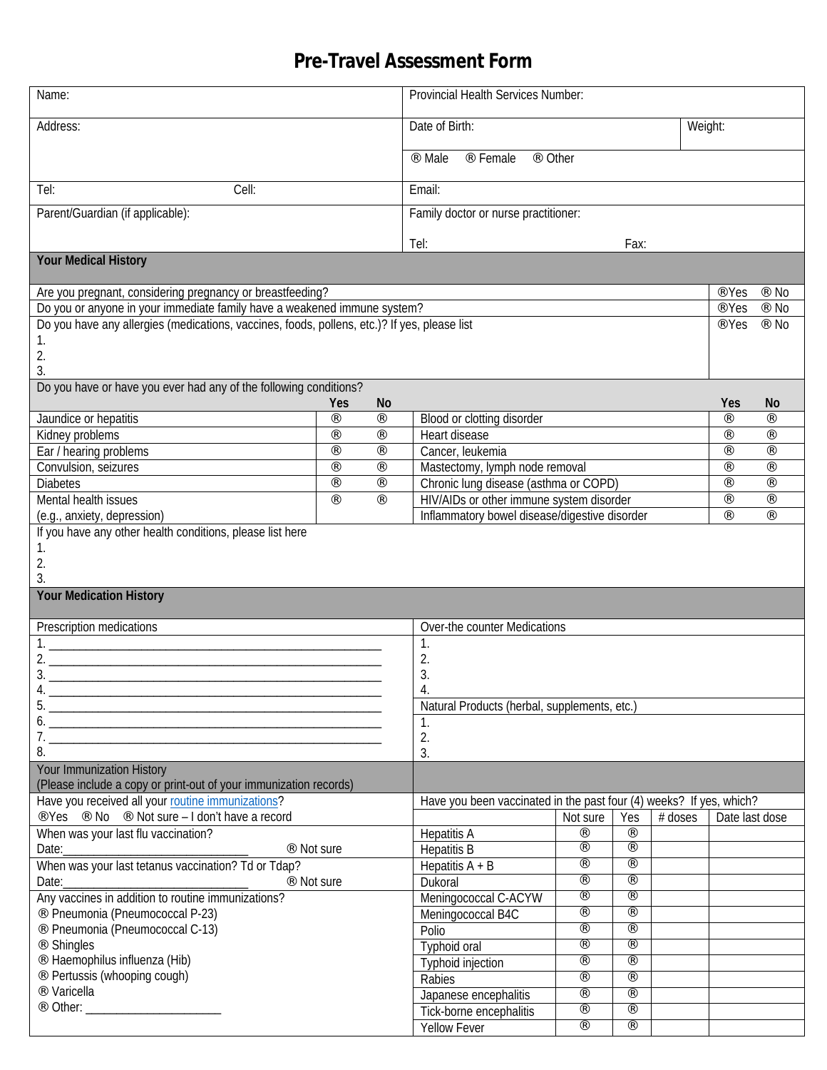## **Pre-Travel Assessment Form**

| Name:                                                                                        |                                                                  | <b>Provincial Health Services Number:</b> |                                                                     |          |     |           |                          |           |  |  |
|----------------------------------------------------------------------------------------------|------------------------------------------------------------------|-------------------------------------------|---------------------------------------------------------------------|----------|-----|-----------|--------------------------|-----------|--|--|
| Address:                                                                                     |                                                                  |                                           | Date of Birth:                                                      |          |     |           |                          | Weight:   |  |  |
|                                                                                              |                                                                  |                                           | Other<br>Male<br>Female                                             |          |     |           |                          |           |  |  |
| Tel:<br>Cell:                                                                                |                                                                  |                                           | Email:                                                              |          |     |           |                          |           |  |  |
| Parent/Guardian (if applicable):                                                             |                                                                  |                                           | Family doctor or nurse practitioner:                                |          |     |           |                          |           |  |  |
|                                                                                              |                                                                  |                                           |                                                                     |          |     |           |                          |           |  |  |
|                                                                                              |                                                                  | Tel:<br>Fax:                              |                                                                     |          |     |           |                          |           |  |  |
| <b>Your Medical History</b>                                                                  |                                                                  |                                           |                                                                     |          |     |           |                          |           |  |  |
| Are you pregnant, considering pregnancy or breastfeeding?                                    |                                                                  |                                           |                                                                     |          |     |           |                          | No        |  |  |
| Do you or anyone in your immediate family have a weakened immune system?                     |                                                                  |                                           |                                                                     |          |     | <b>No</b> |                          |           |  |  |
| Do you have any allergies (medications, vaccines, foods, pollens, etc.)? If yes, please list |                                                                  |                                           |                                                                     |          |     |           | Yes                      | No        |  |  |
| 1.                                                                                           |                                                                  |                                           |                                                                     |          |     |           |                          |           |  |  |
| 2.<br>3.                                                                                     |                                                                  |                                           |                                                                     |          |     |           |                          |           |  |  |
| Do you have or have you ever had any of the following conditions?                            |                                                                  |                                           |                                                                     |          |     |           |                          |           |  |  |
|                                                                                              | <b>Yes</b><br>No.                                                |                                           |                                                                     |          |     |           | <b>Yes</b>               | <b>No</b> |  |  |
| Jaundice or hepatitis                                                                        | $\cdot\cdot$                                                     |                                           | Blood or clotting disorder                                          |          |     |           |                          |           |  |  |
| Kidney problems                                                                              | $\overline{\cdot}$                                               |                                           | <b>Heart disease</b>                                                |          |     |           | τ.                       |           |  |  |
| Ear / hearing problems                                                                       | $\overline{\phantom{a}}$                                         |                                           | Cancer, leukemia                                                    |          |     |           | $\overline{\phantom{a}}$ |           |  |  |
| Convulsion, seizures                                                                         | $\overline{\phantom{a}}$                                         |                                           | Mastectomy, lymph node removal                                      |          |     |           | $\cdot\cdot$             |           |  |  |
| <b>Diabetes</b>                                                                              | $\cdot\cdot$                                                     |                                           | Chronic lung disease (asthma or COPD)                               |          |     |           | $\cdot\cdot$             |           |  |  |
| <b>Mental health issues</b>                                                                  | $\ldots$<br>$\ldots$<br>HIV/AIDs or other immune system disorder |                                           |                                                                     |          |     |           | $\ldots$                 |           |  |  |
| (e.g., anxiety, depression)                                                                  |                                                                  |                                           | Inflammatory bowel disease/digestive disorder                       |          |     |           |                          |           |  |  |
| If you have any other health conditions, please list here                                    |                                                                  |                                           |                                                                     |          |     |           |                          |           |  |  |
| 1.<br>2.                                                                                     |                                                                  |                                           |                                                                     |          |     |           |                          |           |  |  |
| 3.                                                                                           |                                                                  |                                           |                                                                     |          |     |           |                          |           |  |  |
| <b>Your Medication History</b>                                                               |                                                                  |                                           |                                                                     |          |     |           |                          |           |  |  |
| <b>Prescription medications</b>                                                              |                                                                  |                                           | <b>Over-the counter Medications</b>                                 |          |     |           |                          |           |  |  |
|                                                                                              | 1.                                                               |                                           |                                                                     |          |     |           |                          |           |  |  |
|                                                                                              | 2.                                                               |                                           |                                                                     |          |     |           |                          |           |  |  |
|                                                                                              | 3.                                                               |                                           |                                                                     |          |     |           |                          |           |  |  |
|                                                                                              | 4.                                                               |                                           |                                                                     |          |     |           |                          |           |  |  |
|                                                                                              |                                                                  |                                           | Natural Products (herbal, supplements, etc.)                        |          |     |           |                          |           |  |  |
| $\mathbf{6.}$ $\blacksquare$                                                                 |                                                                  |                                           | 1.                                                                  |          |     |           |                          |           |  |  |
| 8.                                                                                           |                                                                  |                                           | 2.<br>3.                                                            |          |     |           |                          |           |  |  |
| <b>Your Immunization History</b>                                                             |                                                                  |                                           |                                                                     |          |     |           |                          |           |  |  |
| (Please include a copy or print-out of your immunization records)                            |                                                                  |                                           |                                                                     |          |     |           |                          |           |  |  |
| Have you received all your routine immunizations?                                            |                                                                  |                                           | Have you been vaccinated in the past four (4) weeks? If yes, which? |          |     |           |                          |           |  |  |
| Yes No Not sure - I don't have a record                                                      |                                                                  |                                           |                                                                     | Not sure | Yes | # doses   | Date last dose           |           |  |  |
| When was your last flu vaccination?                                                          |                                                                  |                                           | <b>Hepatitis A</b>                                                  |          |     |           |                          |           |  |  |
|                                                                                              | Not sure                                                         |                                           | <b>Hepatitis B</b>                                                  |          |     |           |                          |           |  |  |
| When was your last tetanus vaccination? Td or Tdap?                                          |                                                                  |                                           | Hepatitis $A + B$                                                   |          |     |           |                          |           |  |  |
| Date:                                                                                        | Not sure                                                         |                                           | <b>Dukoral</b>                                                      |          |     |           |                          |           |  |  |
| Any vaccines in addition to routine immunizations?                                           |                                                                  |                                           | Meningococcal C-ACYW                                                |          |     |           |                          |           |  |  |
| Pneumonia (Pneumococcal P-23)                                                                |                                                                  |                                           | Meningococcal B4C                                                   |          |     |           |                          |           |  |  |
| Pneumonia (Pneumococcal C-13)                                                                |                                                                  |                                           | Polio                                                               |          |     |           |                          |           |  |  |
| <b>Shingles</b><br>Haemophilus influenza (Hib)                                               |                                                                  |                                           | <b>Typhoid oral</b>                                                 |          |     |           |                          |           |  |  |
| Pertussis (whooping cough)                                                                   |                                                                  |                                           | <b>Typhoid injection</b>                                            |          |     |           |                          |           |  |  |
| Varicella                                                                                    |                                                                  |                                           | <b>Rabies</b>                                                       |          |     |           |                          |           |  |  |
|                                                                                              |                                                                  |                                           | Japanese encephalitis                                               |          |     |           |                          |           |  |  |
|                                                                                              | Tick-borne encephalitis                                          |                                           |                                                                     |          |     |           |                          |           |  |  |
|                                                                                              |                                                                  |                                           | <b>Yellow Fever</b>                                                 |          |     |           |                          |           |  |  |